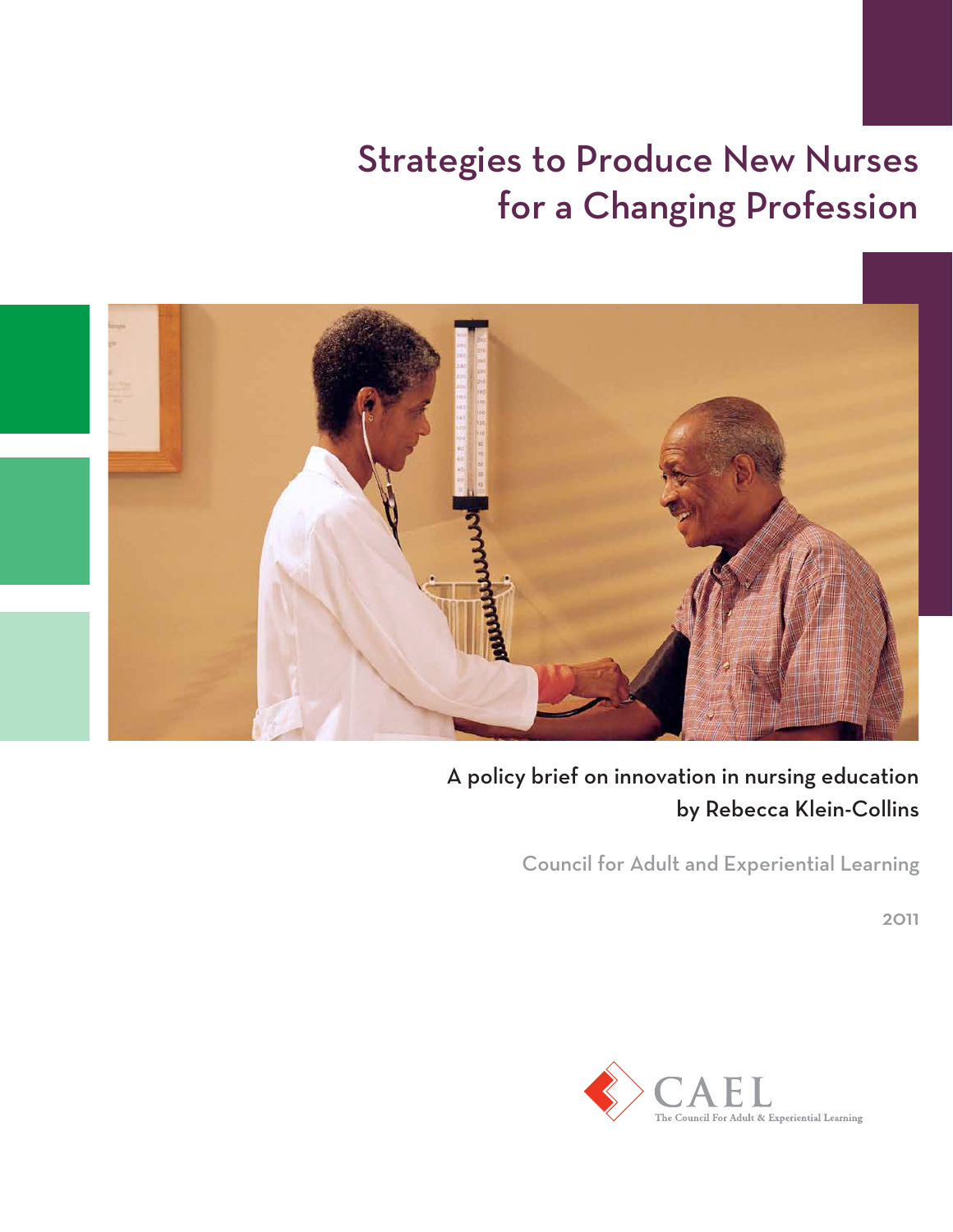# Strategies to Produce New Nurses for a Changing Profession



# A policy brief on innovation in nursing education by Rebecca Klein-Collins

Council for Adult and Experiential Learning

2011

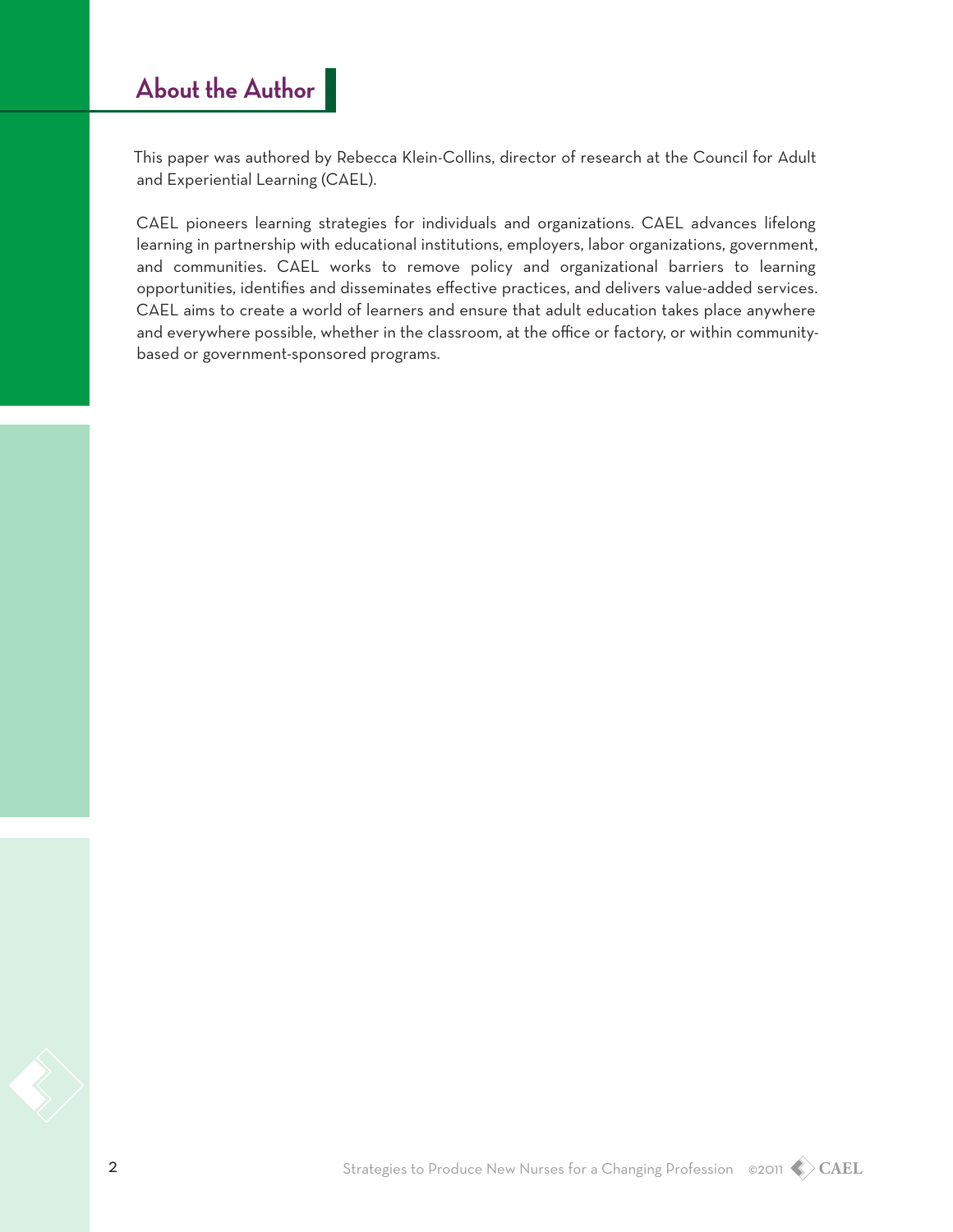# **About the Author**

This paper was authored by Rebecca Klein-Collins, director of research at the Council for Adult and Experiential Learning (CAEL).

CAEL pioneers learning strategies for individuals and organizations. CAEL advances lifelong learning in partnership with educational institutions, employers, labor organizations, government, and communities. CAEL works to remove policy and organizational barriers to learning opportunities, identifies and disseminates effective practices, and delivers value-added services. CAEL aims to create a world of learners and ensure that adult education takes place anywhere and everywhere possible, whether in the classroom, at the office or factory, or within communitybased or government-sponsored programs.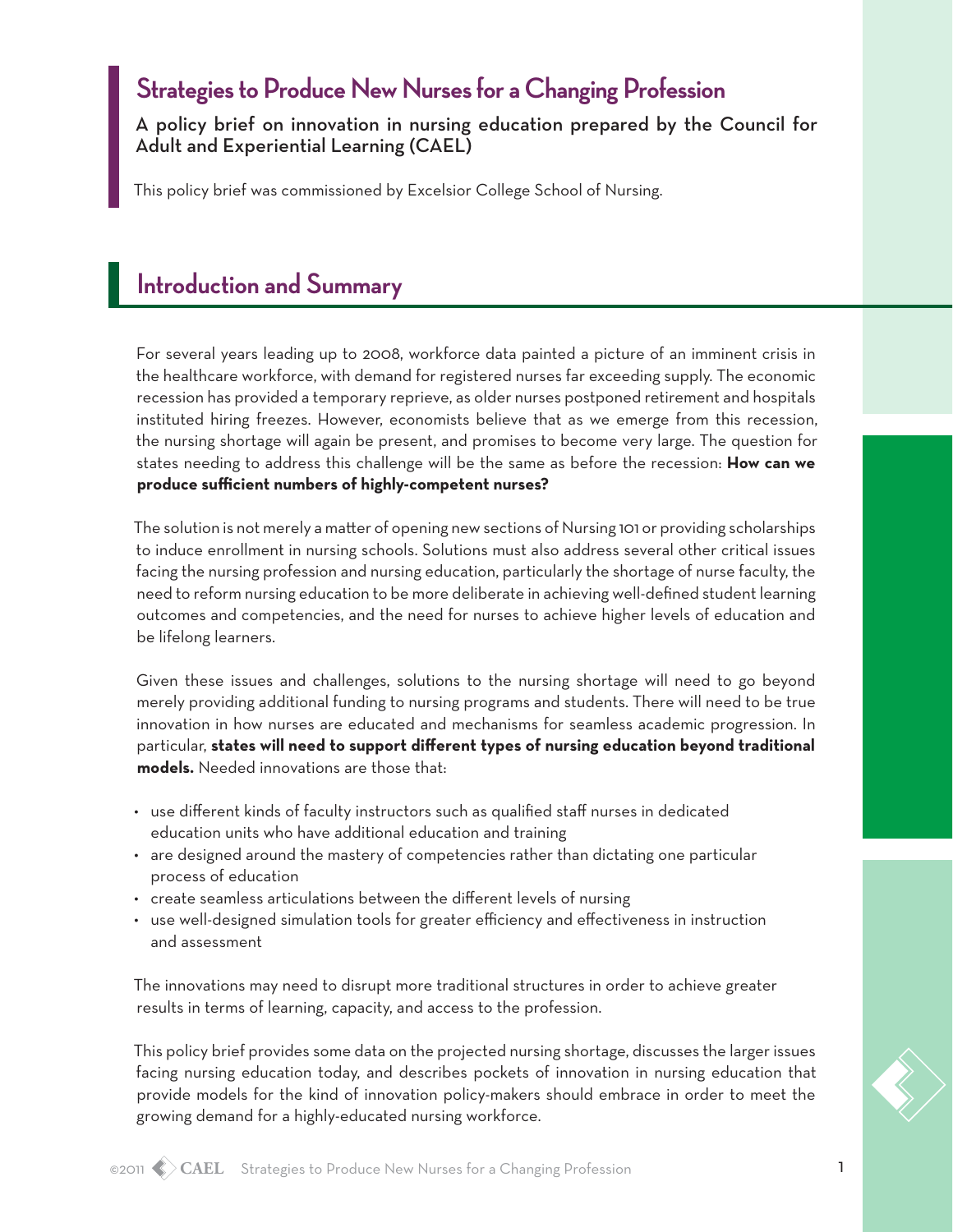### **Strategies to Produce New Nurses for a Changing Profession**

A policy brief on innovation in nursing education prepared by the Council for Adult and Experiential Learning (CAEL)

This policy brief was commissioned by Excelsior College School of Nursing.

### **Introduction and Summary**

For several years leading up to 2008, workforce data painted a picture of an imminent crisis in the healthcare workforce, with demand for registered nurses far exceeding supply. The economic recession has provided a temporary reprieve, as older nurses postponed retirement and hospitals instituted hiring freezes. However, economists believe that as we emerge from this recession, the nursing shortage will again be present, and promises to become very large. The question for states needing to address this challenge will be the same as before the recession: **How can we produce sufficient numbers of highly-competent nurses?**

The solution is not merely a matter of opening new sections of Nursing 101 or providing scholarships to induce enrollment in nursing schools. Solutions must also address several other critical issues facing the nursing profession and nursing education, particularly the shortage of nurse faculty, the need to reform nursing education to be more deliberate in achieving well-defined student learning outcomes and competencies, and the need for nurses to achieve higher levels of education and be lifelong learners.

Given these issues and challenges, solutions to the nursing shortage will need to go beyond merely providing additional funding to nursing programs and students. There will need to be true innovation in how nurses are educated and mechanisms for seamless academic progression. In particular, **states will need to support different types of nursing education beyond traditional models.** Needed innovations are those that:

- • use different kinds of faculty instructors such as qualified staff nurses in dedicated education units who have additional education and training
- • are designed around the mastery of competencies rather than dictating one particular process of education
- • create seamless articulations between the different levels of nursing
- • use well-designed simulation tools for greater efficiency and effectiveness in instruction and assessment

The innovations may need to disrupt more traditional structures in order to achieve greater results in terms of learning, capacity, and access to the profession.

This policy brief provides some data on the projected nursing shortage, discusses the larger issues facing nursing education today, and describes pockets of innovation in nursing education that provide models for the kind of innovation policy-makers should embrace in order to meet the growing demand for a highly-educated nursing workforce.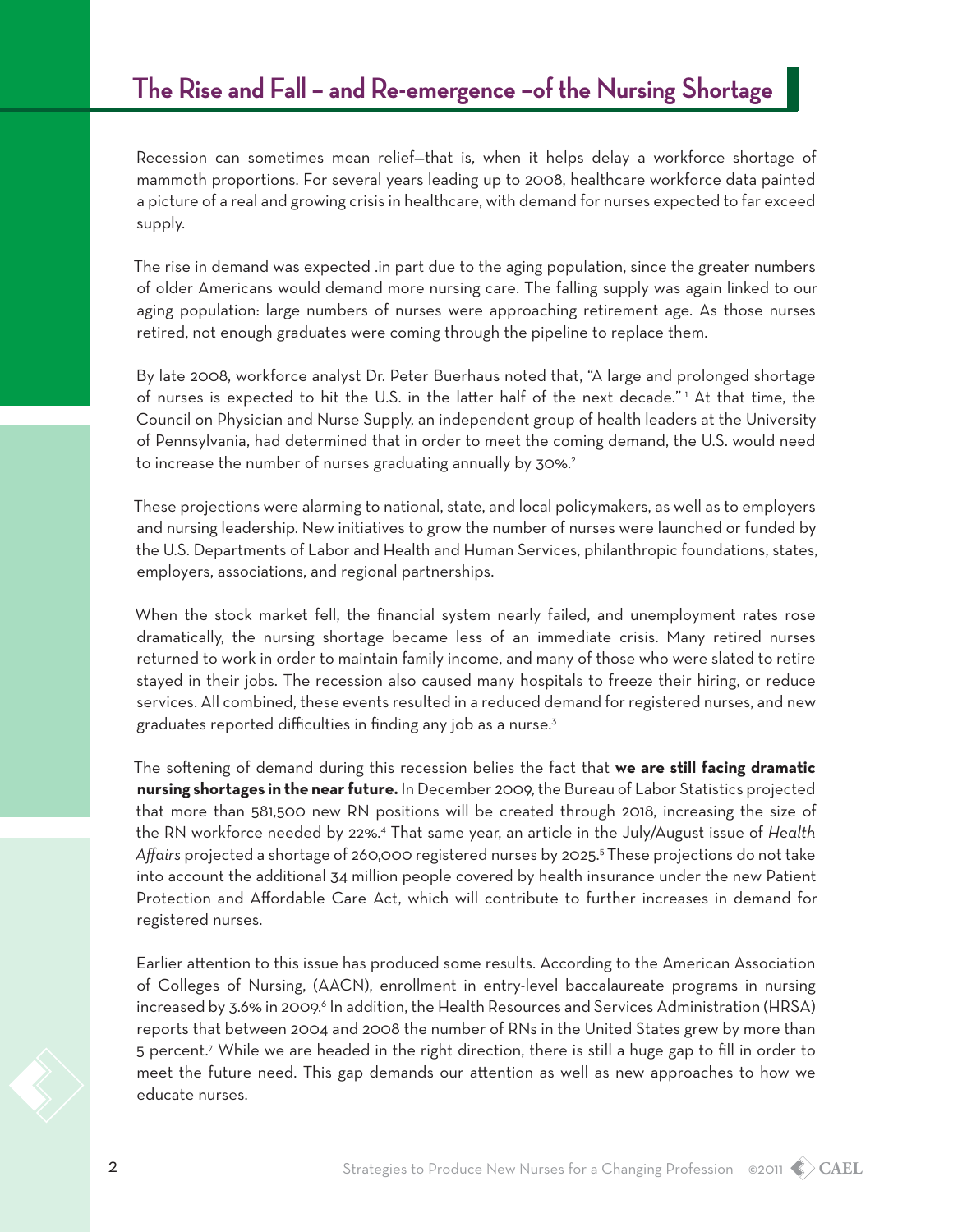#### **The Rise and Fall – and Re-emergence –of the Nursing Shortage**

Recession can sometimes mean relief—that is, when it helps delay a workforce shortage of mammoth proportions. For several years leading up to 2008, healthcare workforce data painted a picture of a real and growing crisis in healthcare, with demand for nurses expected to far exceed supply.

The rise in demand was expected .in part due to the aging population, since the greater numbers of older Americans would demand more nursing care. The falling supply was again linked to our aging population: large numbers of nurses were approaching retirement age. As those nurses retired, not enough graduates were coming through the pipeline to replace them.

By late 2008, workforce analyst Dr. Peter Buerhaus noted that, "A large and prolonged shortage of nurses is expected to hit the U.S. in the latter half of the next decade." 1 At that time, the Council on Physician and Nurse Supply, an independent group of health leaders at the University of Pennsylvania, had determined that in order to meet the coming demand, the U.S. would need to increase the number of nurses graduating annually by 30%.<sup>2</sup>

These projections were alarming to national, state, and local policymakers, as well as to employers and nursing leadership. New initiatives to grow the number of nurses were launched or funded by the U.S. Departments of Labor and Health and Human Services, philanthropic foundations, states, employers, associations, and regional partnerships.

When the stock market fell, the financial system nearly failed, and unemployment rates rose dramatically, the nursing shortage became less of an immediate crisis. Many retired nurses returned to work in order to maintain family income, and many of those who were slated to retire stayed in their jobs. The recession also caused many hospitals to freeze their hiring, or reduce services. All combined, these events resulted in a reduced demand for registered nurses, and new graduates reported difficulties in finding any job as a nurse.<sup>3</sup>

The softening of demand during this recession belies the fact that **we are still facing dramatic nursing shortages in the near future.** In December 2009, the Bureau of Labor Statistics projected that more than 581,500 new RN positions will be created through 2018, increasing the size of the RN workforce needed by 22%.4 That same year, an article in the July/August issue of *Health*  Affairs projected a shortage of 260,000 registered nurses by 2025.<sup>5</sup> These projections do not take into account the additional 34 million people covered by health insurance under the new Patient Protection and Affordable Care Act, which will contribute to further increases in demand for registered nurses.

Earlier attention to this issue has produced some results. According to the American Association of Colleges of Nursing, (AACN), enrollment in entry-level baccalaureate programs in nursing increased by 3.6% in 2009.<sup>6</sup> In addition, the Health Resources and Services Administration (HRSA) reports that between 2004 and 2008 the number of RNs in the United States grew by more than 5 percent.<sup>7</sup> While we are headed in the right direction, there is still a huge gap to fill in order to meet the future need. This gap demands our attention as well as new approaches to how we educate nurses.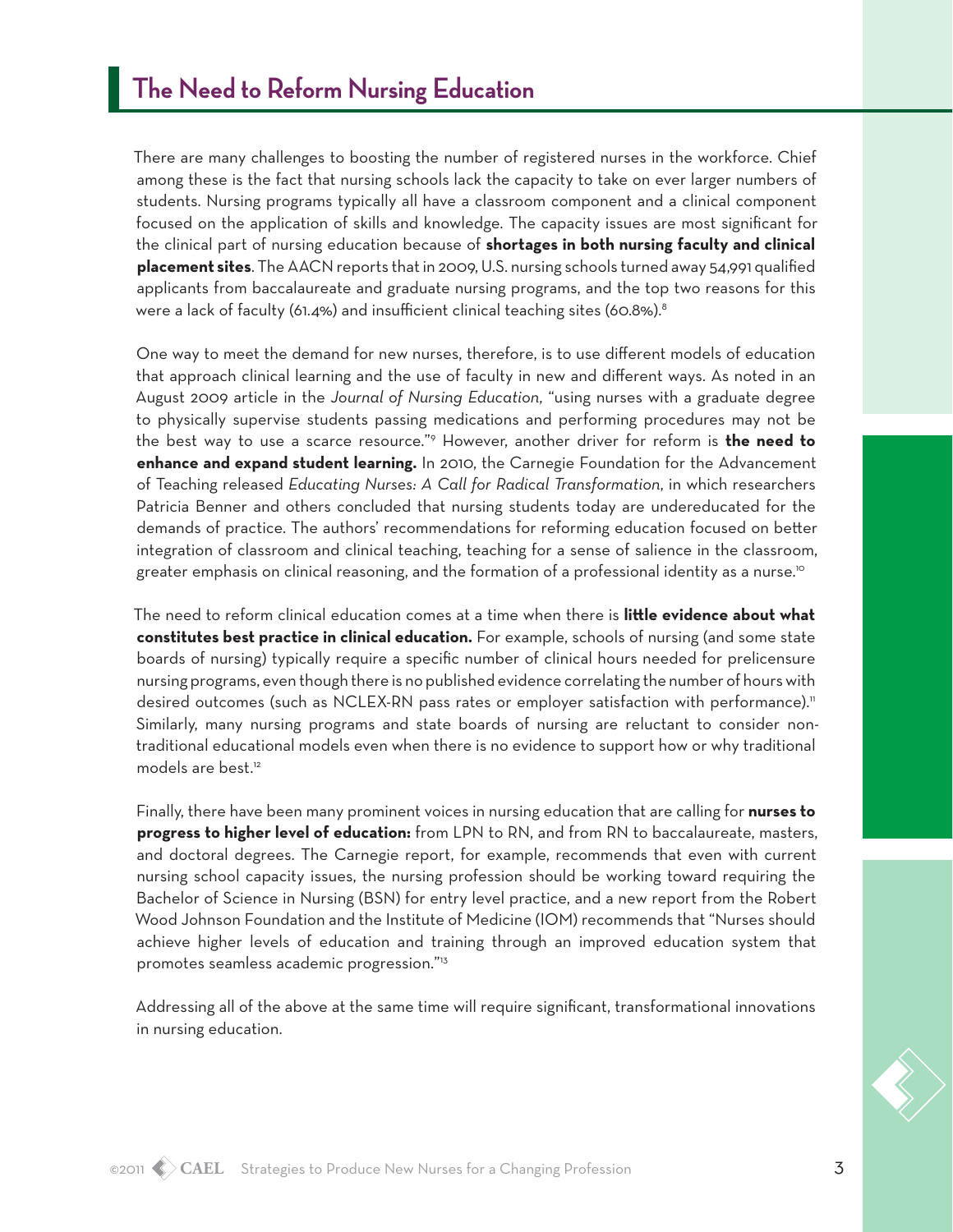There are many challenges to boosting the number of registered nurses in the workforce. Chief among these is the fact that nursing schools lack the capacity to take on ever larger numbers of students. Nursing programs typically all have a classroom component and a clinical component focused on the application of skills and knowledge. The capacity issues are most significant for the clinical part of nursing education because of **shortages in both nursing faculty and clinical placement sites**. The AACN reports that in 2009, U.S. nursing schools turned away 54,991 qualified applicants from baccalaureate and graduate nursing programs, and the top two reasons for this were a lack of faculty (61.4%) and insufficient clinical teaching sites (60.8%).<sup>8</sup>

One way to meet the demand for new nurses, therefore, is to use different models of education that approach clinical learning and the use of faculty in new and different ways. As noted in an August 2009 article in the *Journal of Nursing Education*, "using nurses with a graduate degree to physically supervise students passing medications and performing procedures may not be the best way to use a scarce resource."9 However, another driver for reform is **the need to enhance and expand student learning.** In 2010, the Carnegie Foundation for the Advancement of Teaching released *Educating Nurses: A Call for Radical Transformation*, in which researchers Patricia Benner and others concluded that nursing students today are undereducated for the demands of practice. The authors' recommendations for reforming education focused on better integration of classroom and clinical teaching, teaching for a sense of salience in the classroom, greater emphasis on clinical reasoning, and the formation of a professional identity as a nurse.<sup>10</sup>

The need to reform clinical education comes at a time when there is **little evidence about what constitutes best practice in clinical education.** For example, schools of nursing (and some state boards of nursing) typically require a specific number of clinical hours needed for prelicensure nursing programs, even though there is no published evidence correlating the number of hours with desired outcomes (such as NCLEX-RN pass rates or employer satisfaction with performance).<sup>11</sup> Similarly, many nursing programs and state boards of nursing are reluctant to consider nontraditional educational models even when there is no evidence to support how or why traditional models are best.12

Finally, there have been many prominent voices in nursing education that are calling for **nurses to progress to higher level of education:** from LPN to RN, and from RN to baccalaureate, masters, and doctoral degrees. The Carnegie report, for example, recommends that even with current nursing school capacity issues, the nursing profession should be working toward requiring the Bachelor of Science in Nursing (BSN) for entry level practice, and a new report from the Robert Wood Johnson Foundation and the Institute of Medicine (IOM) recommends that "Nurses should achieve higher levels of education and training through an improved education system that promotes seamless academic progression."13

Addressing all of the above at the same time will require significant, transformational innovations in nursing education.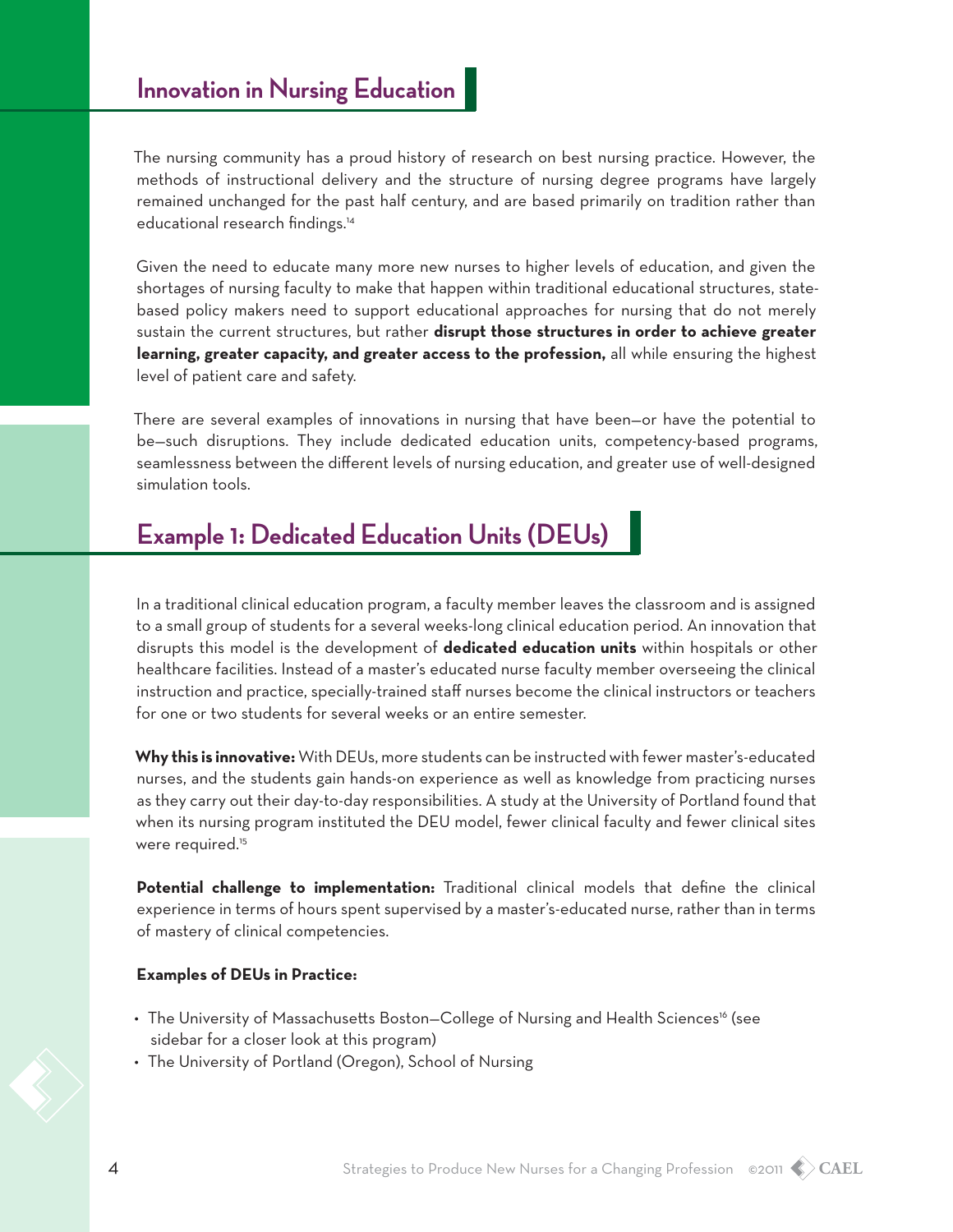The nursing community has a proud history of research on best nursing practice. However, the methods of instructional delivery and the structure of nursing degree programs have largely remained unchanged for the past half century, and are based primarily on tradition rather than educational research findings.14

Given the need to educate many more new nurses to higher levels of education, and given the shortages of nursing faculty to make that happen within traditional educational structures, statebased policy makers need to support educational approaches for nursing that do not merely sustain the current structures, but rather **disrupt those structures in order to achieve greater learning, greater capacity, and greater access to the profession,** all while ensuring the highest level of patient care and safety.

There are several examples of innovations in nursing that have been—or have the potential to be—such disruptions. They include dedicated education units, competency-based programs, seamlessness between the different levels of nursing education, and greater use of well-designed simulation tools.

# **Example 1: Dedicated Education Units (DEUs)**

In a traditional clinical education program, a faculty member leaves the classroom and is assigned to a small group of students for a several weeks-long clinical education period. An innovation that disrupts this model is the development of **dedicated education units** within hospitals or other healthcare facilities. Instead of a master's educated nurse faculty member overseeing the clinical instruction and practice, specially-trained staff nurses become the clinical instructors or teachers for one or two students for several weeks or an entire semester.

**Why this is innovative:** With DEUs, more students can be instructed with fewer master's-educated nurses, and the students gain hands-on experience as well as knowledge from practicing nurses as they carry out their day-to-day responsibilities. A study at the University of Portland found that when its nursing program instituted the DEU model, fewer clinical faculty and fewer clinical sites were required.<sup>15</sup>

**Potential challenge to implementation:** Traditional clinical models that define the clinical experience in terms of hours spent supervised by a master's-educated nurse, rather than in terms of mastery of clinical competencies.

#### **Examples of DEUs in Practice:**

- The University of Massachusetts Boston–College of Nursing and Health Sciences<sup>16</sup> (see sidebar for a closer look at this program)
- The University of Portland (Oregon), School of Nursing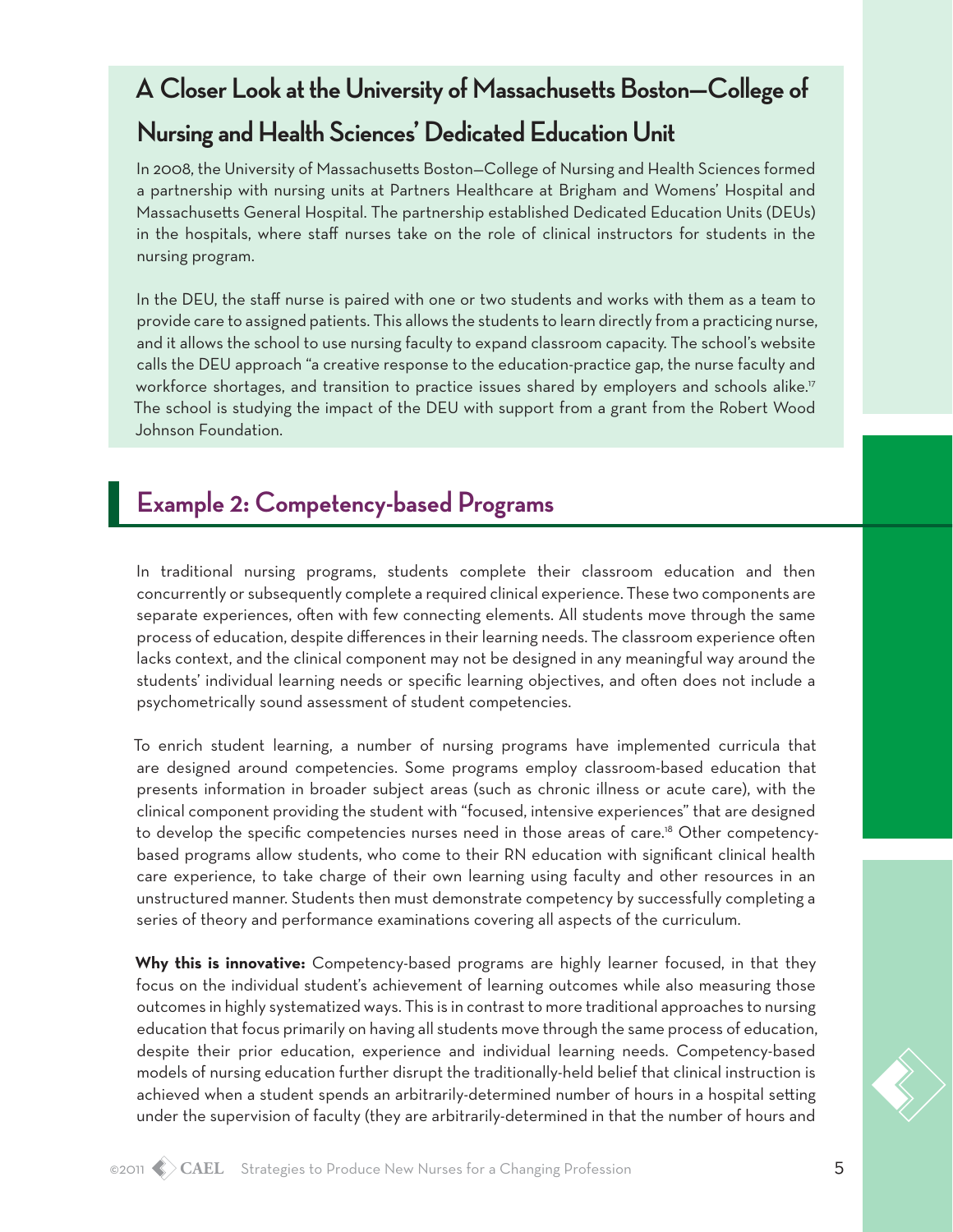# **A Closer Look at the University of Massachusetts Boston—College of Nursing and Health Sciences' Dedicated Education Unit**

In 2008, the University of Massachusetts Boston—College of Nursing and Health Sciences formed a partnership with nursing units at Partners Healthcare at Brigham and Womens' Hospital and Massachusetts General Hospital. The partnership established Dedicated Education Units (DEUs) in the hospitals, where staff nurses take on the role of clinical instructors for students in the nursing program.

In the DEU, the staff nurse is paired with one or two students and works with them as a team to provide care to assigned patients. This allows the students to learn directly from a practicing nurse, and it allows the school to use nursing faculty to expand classroom capacity. The school's website calls the DEU approach "a creative response to the education-practice gap, the nurse faculty and workforce shortages, and transition to practice issues shared by employers and schools alike.<sup>17</sup> The school is studying the impact of the DEU with support from a grant from the Robert Wood Johnson Foundation.

# **Example 2: Competency-based Programs**

In traditional nursing programs, students complete their classroom education and then concurrently or subsequently complete a required clinical experience. These two components are separate experiences, often with few connecting elements. All students move through the same process of education, despite differences in their learning needs. The classroom experience often lacks context, and the clinical component may not be designed in any meaningful way around the students' individual learning needs or specific learning objectives, and often does not include a psychometrically sound assessment of student competencies.

To enrich student learning, a number of nursing programs have implemented curricula that are designed around competencies. Some programs employ classroom-based education that presents information in broader subject areas (such as chronic illness or acute care), with the clinical component providing the student with "focused, intensive experiences" that are designed to develop the specific competencies nurses need in those areas of care.18 Other competencybased programs allow students, who come to their RN education with significant clinical health care experience, to take charge of their own learning using faculty and other resources in an unstructured manner. Students then must demonstrate competency by successfully completing a series of theory and performance examinations covering all aspects of the curriculum.

**Why this is innovative:** Competency-based programs are highly learner focused, in that they focus on the individual student's achievement of learning outcomes while also measuring those outcomes in highly systematized ways. This is in contrast to more traditional approaches to nursing education that focus primarily on having all students move through the same process of education, despite their prior education, experience and individual learning needs. Competency-based models of nursing education further disrupt the traditionally-held belief that clinical instruction is achieved when a student spends an arbitrarily-determined number of hours in a hospital setting under the supervision of faculty (they are arbitrarily-determined in that the number of hours and

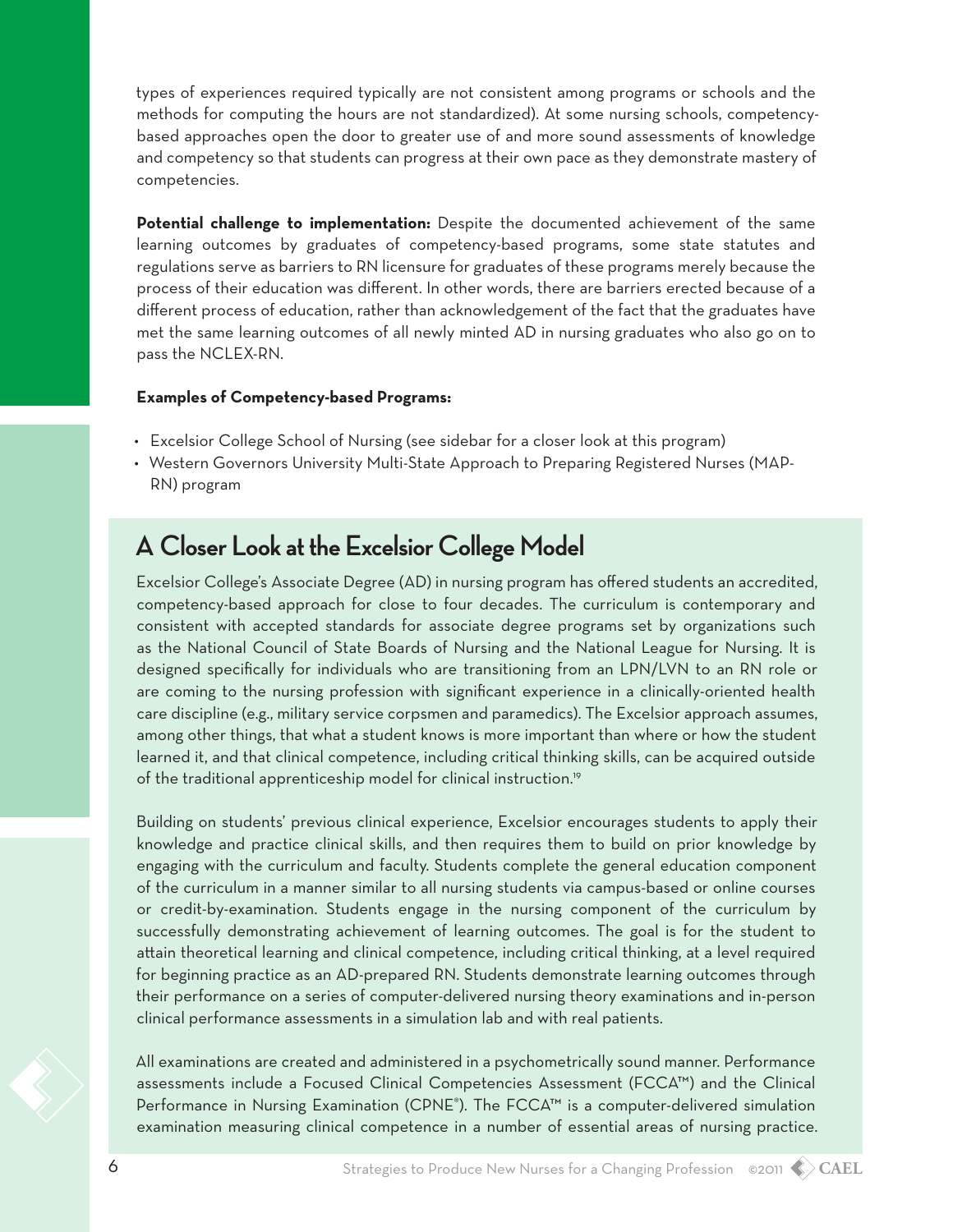types of experiences required typically are not consistent among programs or schools and the methods for computing the hours are not standardized). At some nursing schools, competencybased approaches open the door to greater use of and more sound assessments of knowledge and competency so that students can progress at their own pace as they demonstrate mastery of competencies.

**Potential challenge to implementation:** Despite the documented achievement of the same learning outcomes by graduates of competency-based programs, some state statutes and regulations serve as barriers to RN licensure for graduates of these programs merely because the process of their education was different. In other words, there are barriers erected because of a different process of education, rather than acknowledgement of the fact that the graduates have met the same learning outcomes of all newly minted AD in nursing graduates who also go on to pass the NCLEX-RN.

#### **Examples of Competency-based Programs:**

- • Excelsior College School of Nursing (see sidebar for a closer look at this program)
- • Western Governors University Multi-State Approach to Preparing Registered Nurses (MAP-RN) program

#### **A Closer Look at the Excelsior College Model**

Excelsior College's Associate Degree (AD) in nursing program has offered students an accredited, competency-based approach for close to four decades. The curriculum is contemporary and consistent with accepted standards for associate degree programs set by organizations such as the National Council of State Boards of Nursing and the National League for Nursing. It is designed specifically for individuals who are transitioning from an LPN/LVN to an RN role or are coming to the nursing profession with significant experience in a clinically-oriented health care discipline (e.g., military service corpsmen and paramedics). The Excelsior approach assumes, among other things, that what a student knows is more important than where or how the student learned it, and that clinical competence, including critical thinking skills, can be acquired outside of the traditional apprenticeship model for clinical instruction.<sup>19</sup>

Building on students' previous clinical experience, Excelsior encourages students to apply their knowledge and practice clinical skills, and then requires them to build on prior knowledge by engaging with the curriculum and faculty. Students complete the general education component of the curriculum in a manner similar to all nursing students via campus-based or online courses or credit-by-examination. Students engage in the nursing component of the curriculum by successfully demonstrating achievement of learning outcomes. The goal is for the student to attain theoretical learning and clinical competence, including critical thinking, at a level required for beginning practice as an AD-prepared RN. Students demonstrate learning outcomes through their performance on a series of computer-delivered nursing theory examinations and in-person clinical performance assessments in a simulation lab and with real patients.

All examinations are created and administered in a psychometrically sound manner. Performance assessments include a Focused Clinical Competencies Assessment (FCCA™) and the Clinical Performance in Nursing Examination (CPNE®). The FCCA™ is a computer-delivered simulation examination measuring clinical competence in a number of essential areas of nursing practice.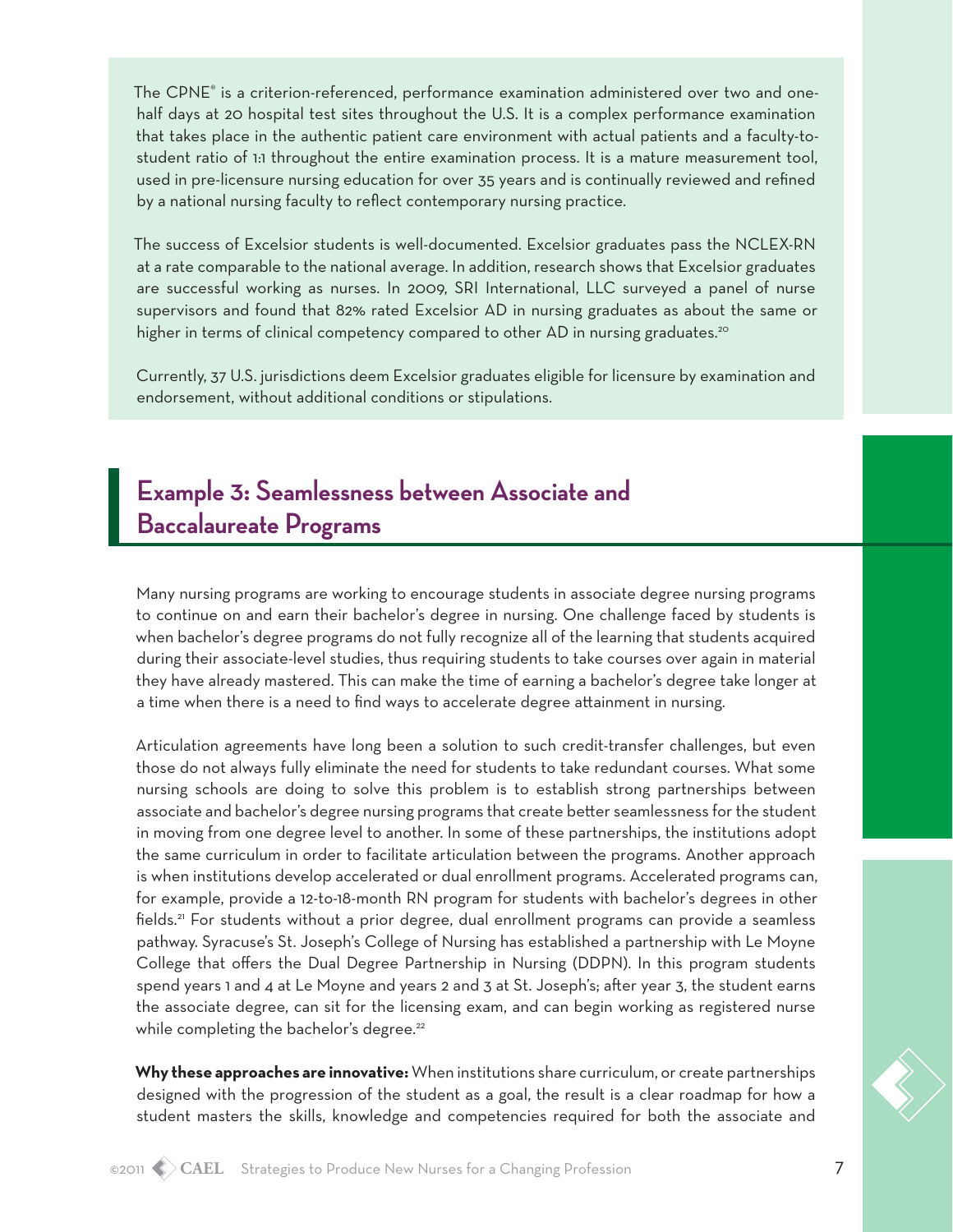The CPNE® is a criterion-referenced, performance examination administered over two and onehalf days at 20 hospital test sites throughout the U.S. It is a complex performance examination that takes place in the authentic patient care environment with actual patients and a faculty-tostudent ratio of 1:1 throughout the entire examination process. It is a mature measurement tool, used in pre-licensure nursing education for over 35 years and is continually reviewed and refined by a national nursing faculty to reflect contemporary nursing practice.

The success of Excelsior students is well-documented. Excelsior graduates pass the NCLEX-RN at a rate comparable to the national average. In addition, research shows that Excelsior graduates are successful working as nurses. In 2009, SRI International, LLC surveyed a panel of nurse supervisors and found that 82% rated Excelsior AD in nursing graduates as about the same or higher in terms of clinical competency compared to other AD in nursing graduates.<sup>20</sup>

Currently, 37 U.S. jurisdictions deem Excelsior graduates eligible for licensure by examination and endorsement, without additional conditions or stipulations.

# **Example 3: Seamlessness between Associate and Baccalaureate Programs**

Many nursing programs are working to encourage students in associate degree nursing programs to continue on and earn their bachelor's degree in nursing. One challenge faced by students is when bachelor's degree programs do not fully recognize all of the learning that students acquired during their associate-level studies, thus requiring students to take courses over again in material they have already mastered. This can make the time of earning a bachelor's degree take longer at a time when there is a need to find ways to accelerate degree attainment in nursing.

Articulation agreements have long been a solution to such credit-transfer challenges, but even those do not always fully eliminate the need for students to take redundant courses. What some nursing schools are doing to solve this problem is to establish strong partnerships between associate and bachelor's degree nursing programs that create better seamlessness for the student in moving from one degree level to another. In some of these partnerships, the institutions adopt the same curriculum in order to facilitate articulation between the programs. Another approach is when institutions develop accelerated or dual enrollment programs. Accelerated programs can, for example, provide a 12-to-18-month RN program for students with bachelor's degrees in other fields.<sup>21</sup> For students without a prior degree, dual enrollment programs can provide a seamless pathway. Syracuse's St. Joseph's College of Nursing has established a partnership with Le Moyne College that offers the Dual Degree Partnership in Nursing (DDPN). In this program students spend years 1 and 4 at Le Moyne and years 2 and 3 at St. Joseph's; after year 3, the student earns the associate degree, can sit for the licensing exam, and can begin working as registered nurse while completing the bachelor's degree.<sup>22</sup>

**Why these approaches are innovative:** When institutions share curriculum, or create partnerships designed with the progression of the student as a goal, the result is a clear roadmap for how a student masters the skills, knowledge and competencies required for both the associate and

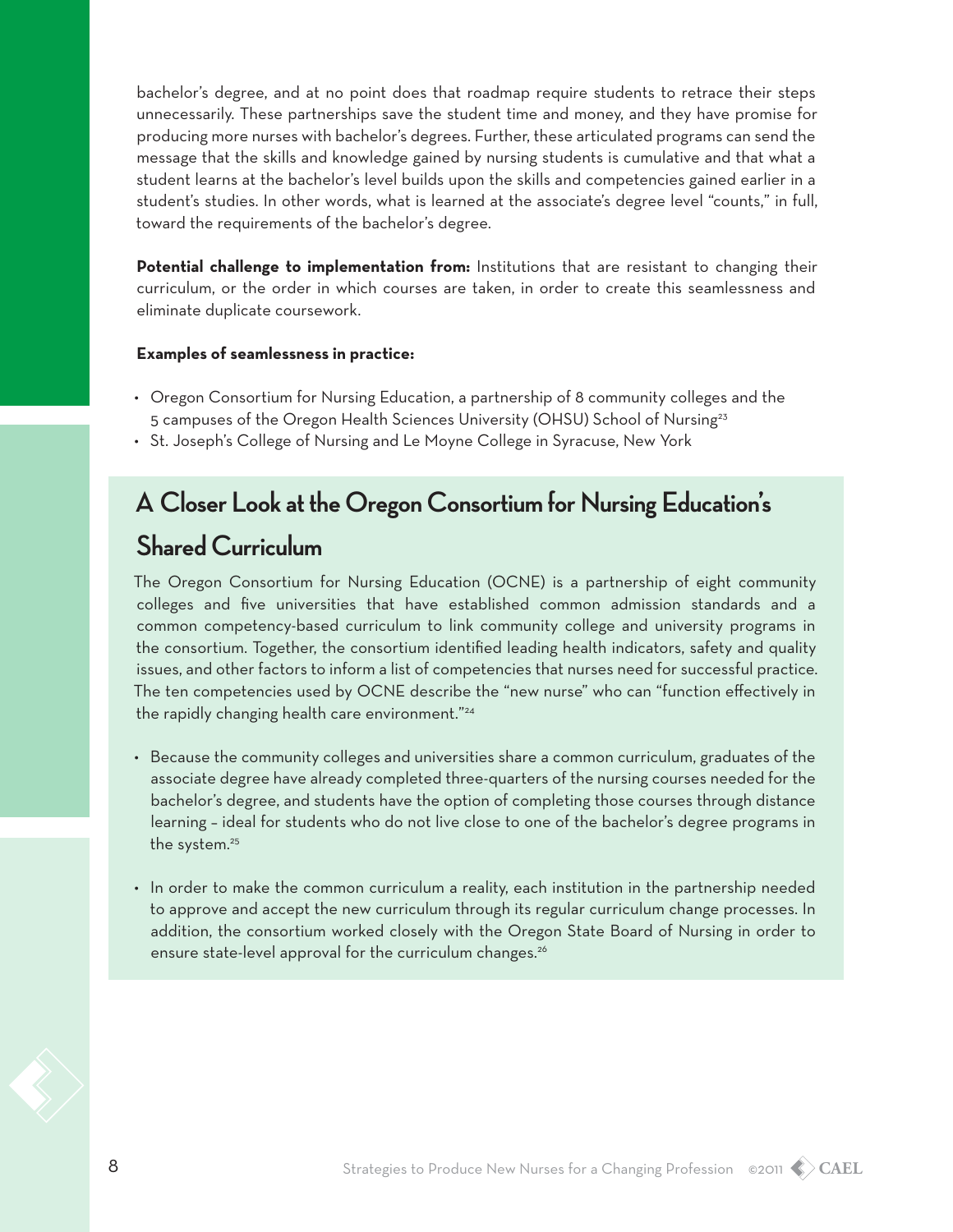bachelor's degree, and at no point does that roadmap require students to retrace their steps unnecessarily. These partnerships save the student time and money, and they have promise for producing more nurses with bachelor's degrees. Further, these articulated programs can send the message that the skills and knowledge gained by nursing students is cumulative and that what a student learns at the bachelor's level builds upon the skills and competencies gained earlier in a student's studies. In other words, what is learned at the associate's degree level "counts," in full, toward the requirements of the bachelor's degree.

**Potential challenge to implementation from:** Institutions that are resistant to changing their curriculum, or the order in which courses are taken, in order to create this seamlessness and eliminate duplicate coursework.

#### **Examples of seamlessness in practice:**

- • Oregon Consortium for Nursing Education, a partnership of 8 community colleges and the 5 campuses of the Oregon Health Sciences University (OHSU) School of Nursing<sup>23</sup>
- St. Joseph's College of Nursing and Le Moyne College in Syracuse, New York

### **A Closer Look at the Oregon Consortium for Nursing Education's**

### **Shared Curriculum**

The Oregon Consortium for Nursing Education (OCNE) is a partnership of eight community colleges and five universities that have established common admission standards and a common competency-based curriculum to link community college and university programs in the consortium. Together, the consortium identified leading health indicators, safety and quality issues, and other factors to inform a list of competencies that nurses need for successful practice. The ten competencies used by OCNE describe the "new nurse" who can "function effectively in the rapidly changing health care environment."<sup>24</sup>

- • Because the community colleges and universities share a common curriculum, graduates of the associate degree have already completed three-quarters of the nursing courses needed for the bachelor's degree, and students have the option of completing those courses through distance learning – ideal for students who do not live close to one of the bachelor's degree programs in the system.<sup>25</sup>
- • In order to make the common curriculum a reality, each institution in the partnership needed to approve and accept the new curriculum through its regular curriculum change processes. In addition, the consortium worked closely with the Oregon State Board of Nursing in order to ensure state-level approval for the curriculum changes.<sup>26</sup>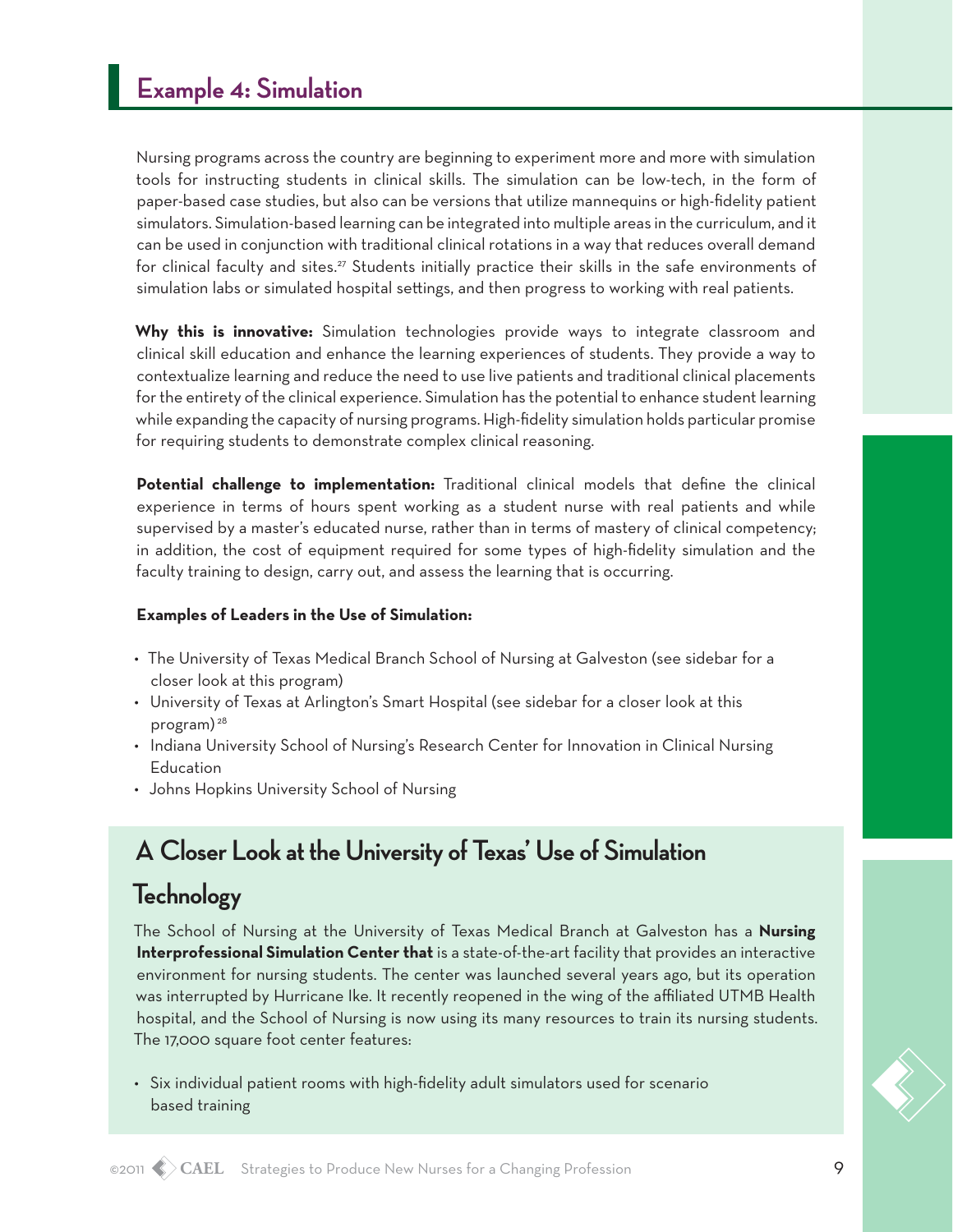Nursing programs across the country are beginning to experiment more and more with simulation tools for instructing students in clinical skills. The simulation can be low-tech, in the form of paper-based case studies, but also can be versions that utilize mannequins or high-fidelity patient simulators. Simulation-based learning can be integrated into multiple areas in the curriculum, and it can be used in conjunction with traditional clinical rotations in a way that reduces overall demand for clinical faculty and sites.27 Students initially practice their skills in the safe environments of simulation labs or simulated hospital settings, and then progress to working with real patients.

**Why this is innovative:** Simulation technologies provide ways to integrate classroom and clinical skill education and enhance the learning experiences of students. They provide a way to contextualize learning and reduce the need to use live patients and traditional clinical placements for the entirety of the clinical experience. Simulation has the potential to enhance student learning while expanding the capacity of nursing programs. High-fidelity simulation holds particular promise for requiring students to demonstrate complex clinical reasoning.

**Potential challenge to implementation:** Traditional clinical models that define the clinical experience in terms of hours spent working as a student nurse with real patients and while supervised by a master's educated nurse, rather than in terms of mastery of clinical competency; in addition, the cost of equipment required for some types of high-fidelity simulation and the faculty training to design, carry out, and assess the learning that is occurring.

#### **Examples of Leaders in the Use of Simulation:**

- • The University of Texas Medical Branch School of Nursing at Galveston (see sidebar for a closer look at this program)
- • University of Texas at Arlington's Smart Hospital (see sidebar for a closer look at this program) 28
- • Indiana University School of Nursing's Research Center for Innovation in Clinical Nursing Education
- Johns Hopkins University School of Nursing

## **A Closer Look at the University of Texas' Use of Simulation**

# **Technology**

The School of Nursing at the University of Texas Medical Branch at Galveston has a **Nursing Interprofessional Simulation Center that** is a state-of-the-art facility that provides an interactive environment for nursing students. The center was launched several years ago, but its operation was interrupted by Hurricane Ike. It recently reopened in the wing of the affiliated UTMB Health hospital, and the School of Nursing is now using its many resources to train its nursing students. The 17,000 square foot center features:

• Six individual patient rooms with high-fidelity adult simulators used for scenario based training

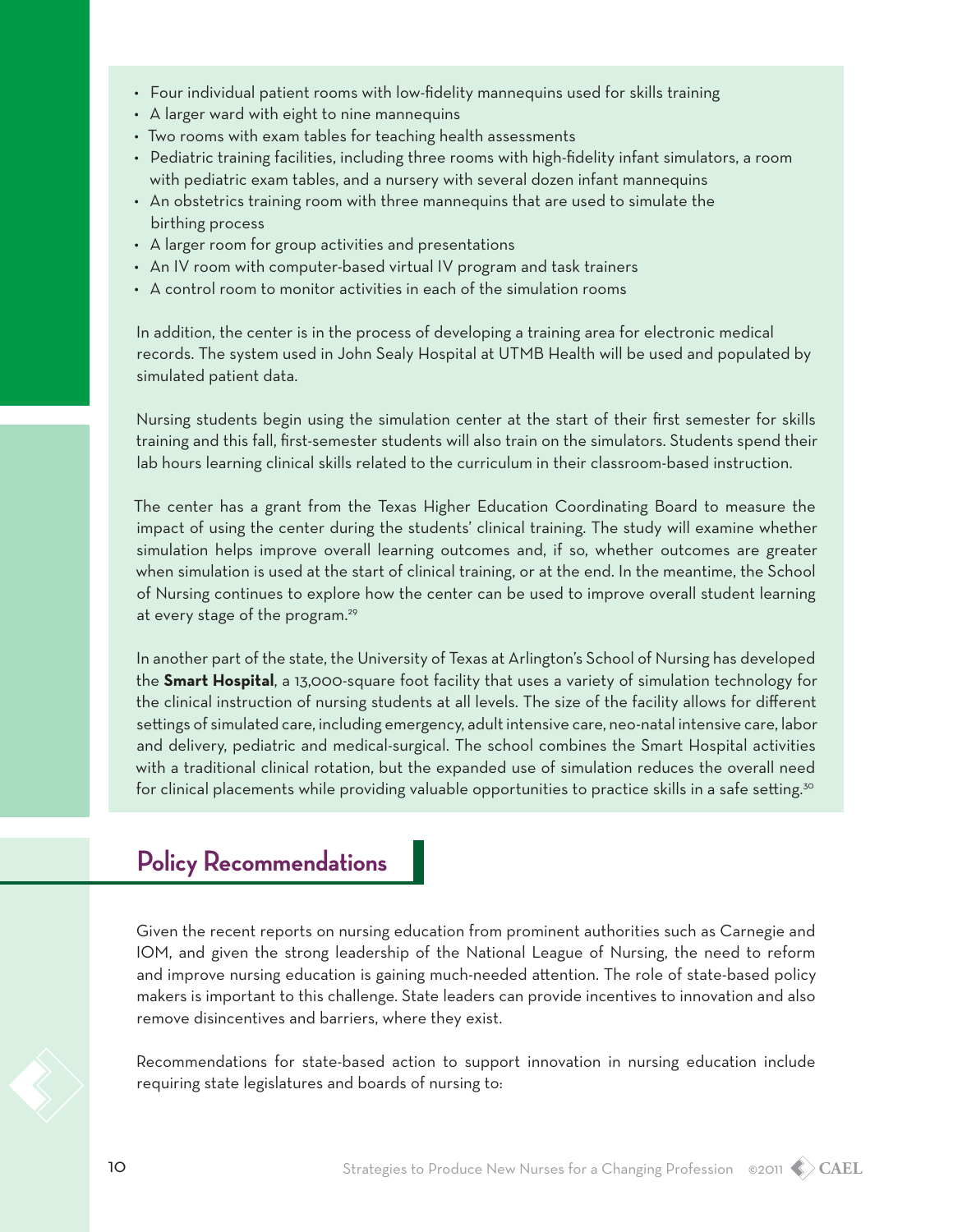- • Four individual patient rooms with low-fidelity mannequins used for skills training
- A larger ward with eight to nine mannequins
- Two rooms with exam tables for teaching health assessments
- • Pediatric training facilities, including three rooms with high-fidelity infant simulators, a room with pediatric exam tables, and a nursery with several dozen infant mannequins
- • An obstetrics training room with three mannequins that are used to simulate the birthing process
- A larger room for group activities and presentations
- An IV room with computer-based virtual IV program and task trainers
- A control room to monitor activities in each of the simulation rooms

In addition, the center is in the process of developing a training area for electronic medical records. The system used in John Sealy Hospital at UTMB Health will be used and populated by simulated patient data.

Nursing students begin using the simulation center at the start of their first semester for skills training and this fall, first-semester students will also train on the simulators. Students spend their lab hours learning clinical skills related to the curriculum in their classroom-based instruction.

The center has a grant from the Texas Higher Education Coordinating Board to measure the impact of using the center during the students' clinical training. The study will examine whether simulation helps improve overall learning outcomes and, if so, whether outcomes are greater when simulation is used at the start of clinical training, or at the end. In the meantime, the School of Nursing continues to explore how the center can be used to improve overall student learning at every stage of the program.<sup>29</sup>

In another part of the state, the University of Texas at Arlington's School of Nursing has developed the **Smart Hospital**, a 13,000-square foot facility that uses a variety of simulation technology for the clinical instruction of nursing students at all levels. The size of the facility allows for different settings of simulated care, including emergency, adult intensive care, neo-natal intensive care, labor and delivery, pediatric and medical-surgical. The school combines the Smart Hospital activities with a traditional clinical rotation, but the expanded use of simulation reduces the overall need for clinical placements while providing valuable opportunities to practice skills in a safe setting.<sup>30</sup>

### **Policy Recommendations**

Given the recent reports on nursing education from prominent authorities such as Carnegie and IOM, and given the strong leadership of the National League of Nursing, the need to reform and improve nursing education is gaining much-needed attention. The role of state-based policy makers is important to this challenge. State leaders can provide incentives to innovation and also remove disincentives and barriers, where they exist.

Recommendations for state-based action to support innovation in nursing education include requiring state legislatures and boards of nursing to: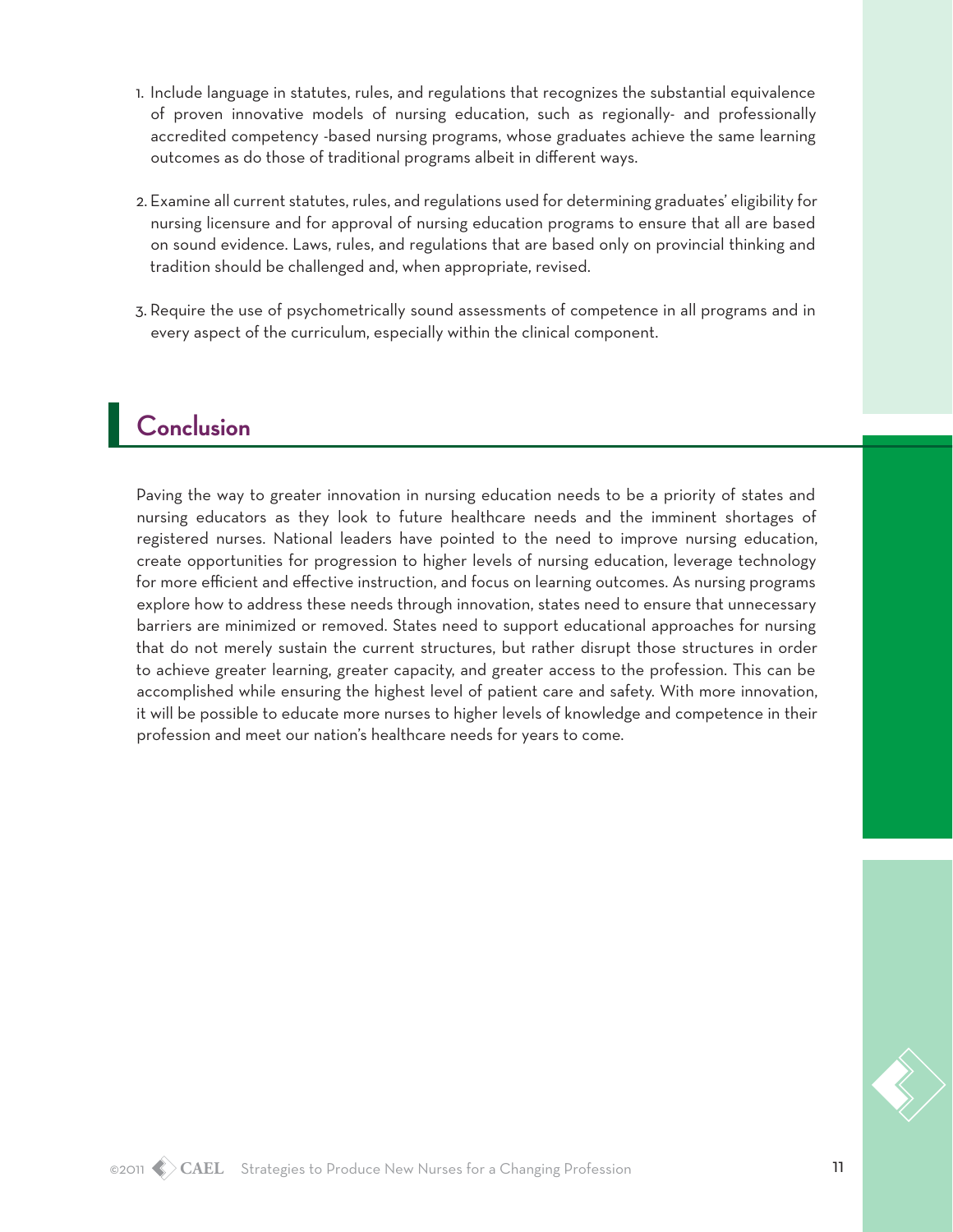- 1. Include language in statutes, rules, and regulations that recognizes the substantial equivalence of proven innovative models of nursing education, such as regionally- and professionally accredited competency -based nursing programs, whose graduates achieve the same learning outcomes as do those of traditional programs albeit in different ways.
- 2. Examine all current statutes, rules, and regulations used for determining graduates' eligibility for nursing licensure and for approval of nursing education programs to ensure that all are based on sound evidence. Laws, rules, and regulations that are based only on provincial thinking and tradition should be challenged and, when appropriate, revised.
- 3. Require the use of psychometrically sound assessments of competence in all programs and in every aspect of the curriculum, especially within the clinical component.

# **Conclusion**

Paving the way to greater innovation in nursing education needs to be a priority of states and nursing educators as they look to future healthcare needs and the imminent shortages of registered nurses. National leaders have pointed to the need to improve nursing education, create opportunities for progression to higher levels of nursing education, leverage technology for more efficient and effective instruction, and focus on learning outcomes. As nursing programs explore how to address these needs through innovation, states need to ensure that unnecessary barriers are minimized or removed. States need to support educational approaches for nursing that do not merely sustain the current structures, but rather disrupt those structures in order to achieve greater learning, greater capacity, and greater access to the profession. This can be accomplished while ensuring the highest level of patient care and safety. With more innovation, it will be possible to educate more nurses to higher levels of knowledge and competence in their profession and meet our nation's healthcare needs for years to come.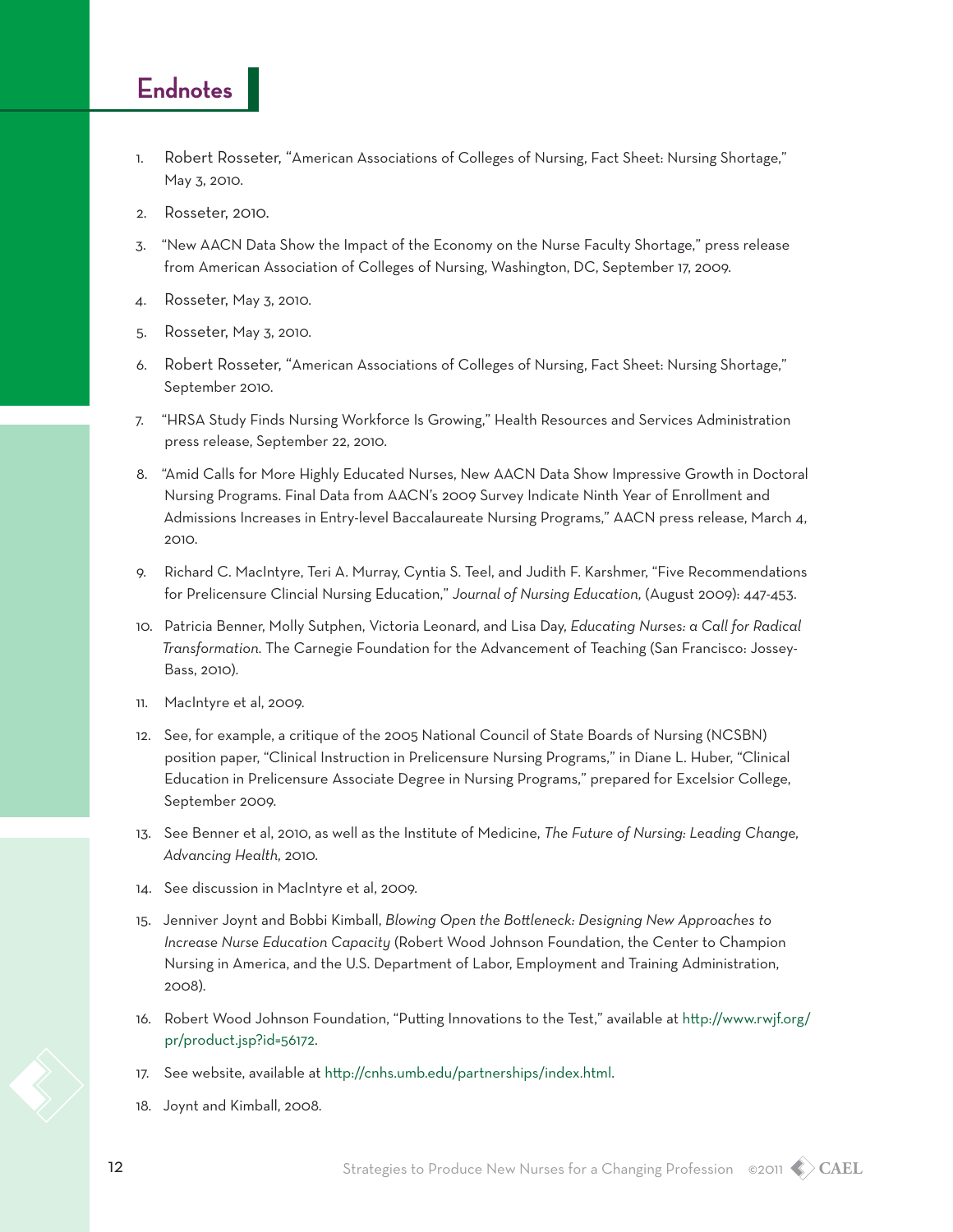#### **Endnotes**

- 1. Robert Rosseter, "American Associations of Colleges of Nursing, Fact Sheet: Nursing Shortage," May 3, 2010.
- 2. Rosseter, 2010.
- 3. "New AACN Data Show the Impact of the Economy on the Nurse Faculty Shortage," press release from American Association of Colleges of Nursing, Washington, DC, September 17, 2009.
- 4. Rosseter, May 3, 2010.
- 5. Rosseter, May 3, 2010.
- 6. Robert Rosseter, "American Associations of Colleges of Nursing, Fact Sheet: Nursing Shortage," September 2010.
- 7. "HRSA Study Finds Nursing Workforce Is Growing," Health Resources and Services Administration press release, September 22, 2010.
- 8. "Amid Calls for More Highly Educated Nurses, New AACN Data Show Impressive Growth in Doctoral Nursing Programs. Final Data from AACN's 2009 Survey Indicate Ninth Year of Enrollment and Admissions Increases in Entry-level Baccalaureate Nursing Programs," AACN press release, March 4, 2010.
- 9. Richard C. MacIntyre, Teri A. Murray, Cyntia S. Teel, and Judith F. Karshmer, "Five Recommendations for Prelicensure Clincial Nursing Education," *Journal of Nursing Education,* (August 2009): 447-453.
- 10. Patricia Benner, Molly Sutphen, Victoria Leonard, and Lisa Day, *Educating Nurses: a Call for Radical Transformation*. The Carnegie Foundation for the Advancement of Teaching (San Francisco: Jossey-Bass, 2010).
- 11. MacIntyre et al, 2009.
- 12. See, for example, a critique of the 2005 National Council of State Boards of Nursing (NCSBN) position paper, "Clinical Instruction in Prelicensure Nursing Programs," in Diane L. Huber, "Clinical Education in Prelicensure Associate Degree in Nursing Programs," prepared for Excelsior College, September 2009.
- 13. See Benner et al, 2010, as well as the Institute of Medicine, *The Future of Nursing: Leading Change, Advancing Health*, 2010.
- 14. See discussion in MacIntyre et al, 2009.
- 15. Jenniver Joynt and Bobbi Kimball, *Blowing Open the Bottleneck: Designing New Approaches to Increase Nurse Education Capacity* (Robert Wood Johnson Foundation, the Center to Champion Nursing in America, and the U.S. Department of Labor, Employment and Training Administration, 2008).
- 16. Robert Wood Johnson Foundation, "Putting Innovations to the Test," available at [http://www.rwjf.org/](http://www.rwjf.org/pr/product.jsp?id=56172) [pr/product.jsp?id=56172](http://www.rwjf.org/pr/product.jsp?id=56172).
- 17. See website, available at <http://cnhs.umb.edu/partnerships/index.html>.
- 18. Joynt and Kimball, 2008.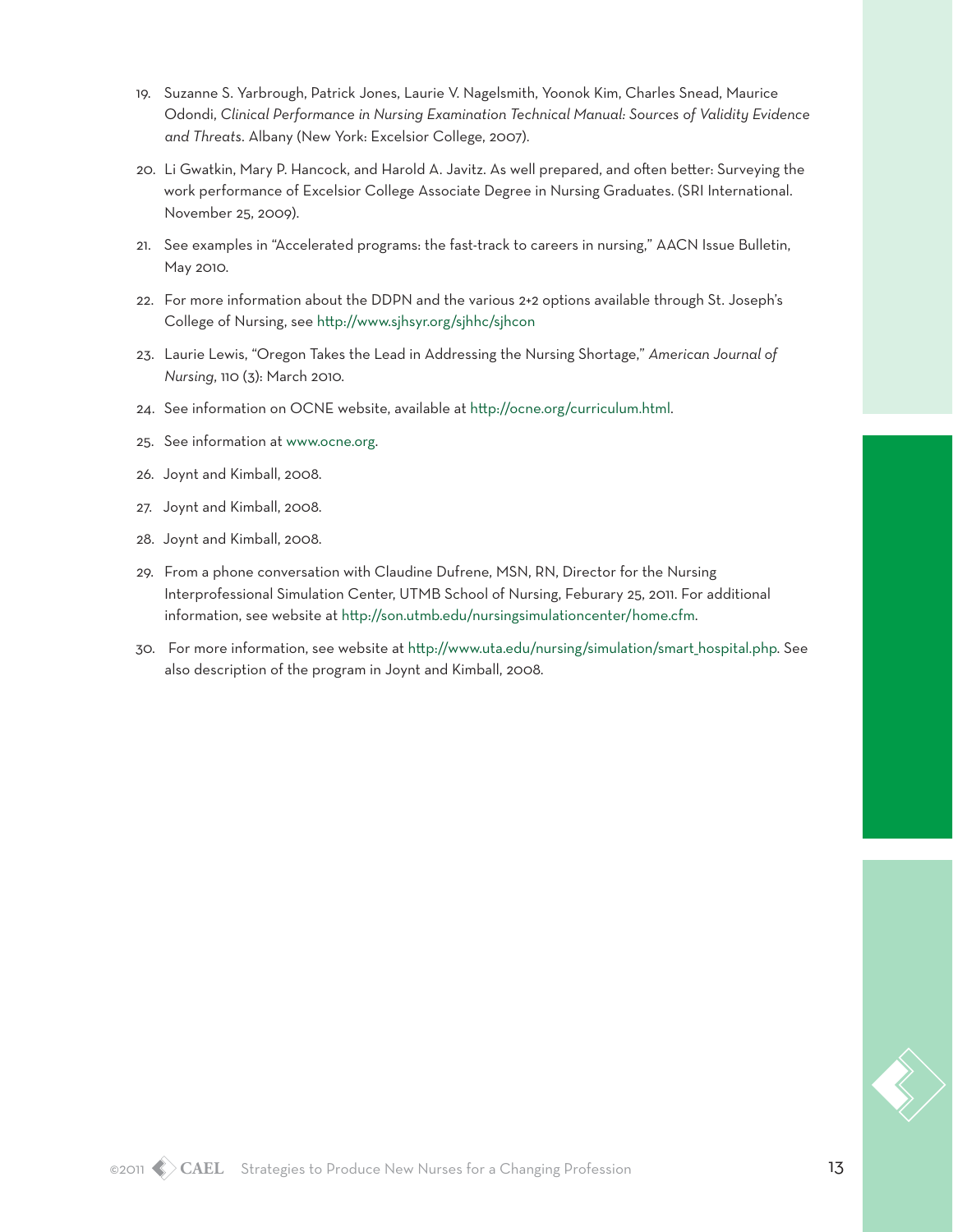- 19. Suzanne S. Yarbrough, Patrick Jones, Laurie V. Nagelsmith, Yoonok Kim, Charles Snead, Maurice Odondi, *Clinical Performance in Nursing Examination Technical Manual: Sources of Validity Evidence and Threats*. Albany (New York: Excelsior College, 2007).
- 20. Li Gwatkin, Mary P. Hancock, and Harold A. Javitz. As well prepared, and often better: Surveying the work performance of Excelsior College Associate Degree in Nursing Graduates. (SRI International. November 25, 2009).
- 21. See examples in "Accelerated programs: the fast-track to careers in nursing," AACN Issue Bulletin, May 2010.
- 22. For more information about the DDPN and the various 2+2 options available through St. Joseph's College of Nursing, see <http://www.sjhsyr.org/sjhhc/sjhcon>
- 23. Laurie Lewis, "Oregon Takes the Lead in Addressing the Nursing Shortage," *American Journal of Nursing*, 110 (3): March 2010.
- 24. See information on OCNE website, available at [http://ocne.org/curriculum.html.](http://ocne.org/curriculum.html)
- 25. See information at [www.ocne.org](http://www.ocne.org).
- 26. Joynt and Kimball, 2008.
- 27. Joynt and Kimball, 2008.
- 28. Joynt and Kimball, 2008.
- 29. From a phone conversation with Claudine Dufrene, MSN, RN, Director for the Nursing Interprofessional Simulation Center, UTMB School of Nursing, Feburary 25, 2011. For additional information, see website at [http://son.utmb.edu/nursingsimulationcenter/home.cfm.](http://son.utmb.edu/nursingsimulationcenter/home.cfm)
- 30. For more information, see website at [http://www.uta.edu/nursing/simulation/smart\\_hospital.php](http://www.uta.edu/nursing/simulation/smart_hospital.php). See also description of the program in Joynt and Kimball, 2008.